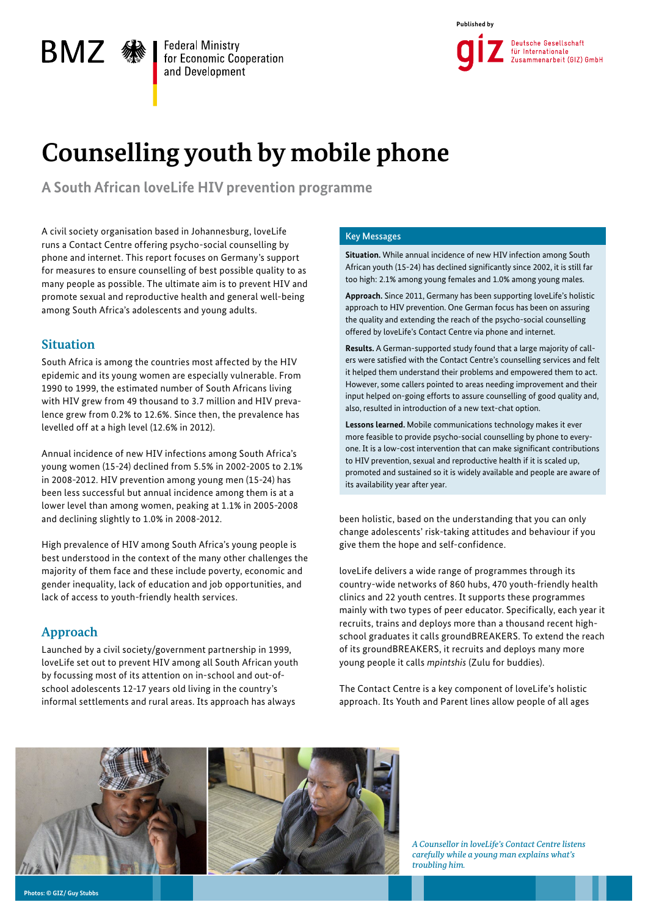



# **Counselling youth by mobile phone**

**A South African loveLife HIV prevention programme** 

A civil society organisation based in Johannesburg, loveLife runs a Contact Centre offering psycho-social counselling by phone and internet. This report focuses on Germany's support for measures to ensure counselling of best possible quality to as many people as possible. The ultimate aim is to prevent HIV and promote sexual and reproductive health and general well-being among South Africa's adolescents and young adults.

# **Situation**

BMZ «

South Africa is among the countries most affected by the HIV epidemic and its young women are especially vulnerable. From 1990 to 1999, the estimated number of South Africans living with HIV grew from 49 thousand to 3.7 million and HIV prevalence grew from 0.2% to 12.6%. Since then, the prevalence has levelled off at a high level (12.6% in 2012).

Annual incidence of new HIV infections among South Africa's young women (15-24) declined from 5.5% in 2002-2005 to 2.1% in 2008-2012. HIV prevention among young men (15-24) has been less successful but annual incidence among them is at a lower level than among women, peaking at 1.1% in 2005-2008 and declining slightly to 1.0% in 2008-2012.

High prevalence of HIV among South Africa's young people is best understood in the context of the many other challenges the majority of them face and these include poverty, economic and gender inequality, lack of education and job opportunities, and lack of access to youth-friendly health services.

# **Approach**

Launched by a civil society/government partnership in 1999, loveLife set out to prevent HIV among all South African youth by focussing most of its attention on in-school and out-ofschool adolescents 12-17 years old living in the country's informal settlements and rural areas. Its approach has always

### Key Messages

**Situation.** While annual incidence of new HIV infection among South African youth (15-24) has declined significantly since 2002, it is still far too high: 2.1% among young females and 1.0% among young males.

**Approach.** Since 2011, Germany has been supporting loveLife's holistic approach to HIV prevention. One German focus has been on assuring the quality and extending the reach of the psycho-social counselling offered by loveLife's Contact Centre via phone and internet.

**Results.** A German-supported study found that a large majority of callers were satisfied with the Contact Centre's counselling services and felt it helped them understand their problems and empowered them to act. However, some callers pointed to areas needing improvement and their input helped on-going efforts to assure counselling of good quality and, also, resulted in introduction of a new text-chat option.

**Lessons learned.** Mobile communications technology makes it ever more feasible to provide psycho-social counselling by phone to everyone. It is a low-cost intervention that can make significant contributions to HIV prevention, sexual and reproductive health if it is scaled up, promoted and sustained so it is widely available and people are aware of its availability year after year.

been holistic, based on the understanding that you can only change adolescents' risk-taking attitudes and behaviour if you give them the hope and self-confidence.

loveLife delivers a wide range of programmes through its country-wide networks of 860 hubs, 470 youth-friendly health clinics and 22 youth centres. It supports these programmes mainly with two types of peer educator. Specifically, each year it recruits, trains and deploys more than a thousand recent highschool graduates it calls groundBREAKERS. To extend the reach of its groundBREAKERS, it recruits and deploys many more young people it calls *mpintshis* (Zulu for buddies).

The Contact Centre is a key component of loveLife's holistic approach. Its Youth and Parent lines allow people of all ages



*A Counsellor in loveLife's Contact Centre listens carefully while a young man explains what's troubling him.*